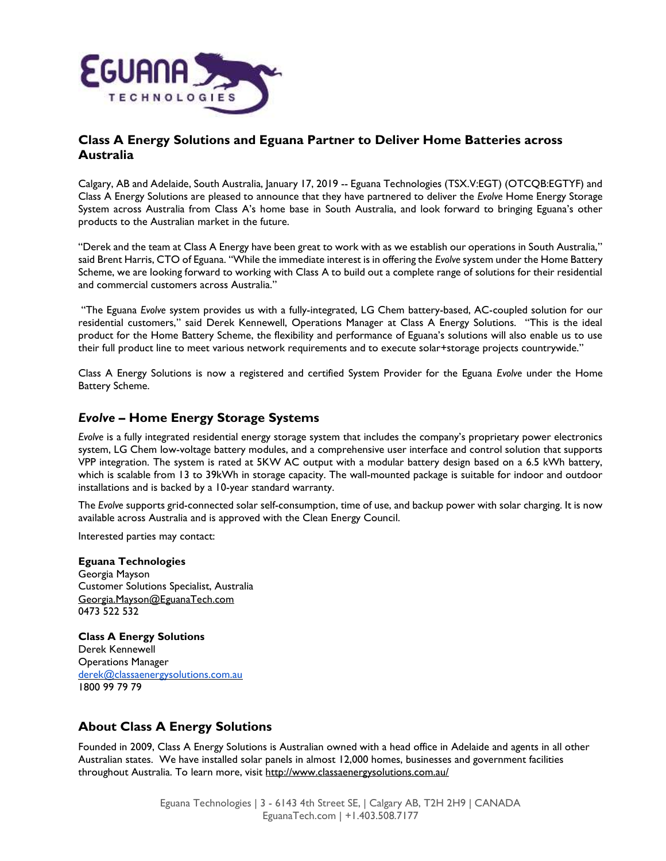

## Class A Energy Solutions and Eguana Partner to Deliver Home Batteries across Australia

Calgary, AB and Adelaide, South Australia, January 17, 2019 -- Eguana Technologies (TSX.V:EGT) (OTCQB:EGTYF) and Class A Energy Solutions are pleased to announce that they have partnered to deliver the Evolve Home Energy Storage System across Australia from Class A's home base in South Australia, and look forward to bringing Eguana's other products to the Australian market in the future.

"Derek and the team at Class A Energy have been great to work with as we establish our operations in South Australia," said Brent Harris, CTO of Eguana. "While the immediate interest is in offering the Evolve system under the Home Battery Scheme, we are looking forward to working with Class A to build out a complete range of solutions for their residential and commercial customers across Australia."

 "The Eguana Evolve system provides us with a fully-integrated, LG Chem battery-based, AC-coupled solution for our residential customers," said Derek Kennewell, Operations Manager at Class A Energy Solutions. "This is the ideal product for the Home Battery Scheme, the flexibility and performance of Eguana's solutions will also enable us to use their full product line to meet various network requirements and to execute solar+storage projects countrywide."

Class A Energy Solutions is now a registered and certified System Provider for the Eguana Evolve under the Home Battery Scheme.

## Evolve – Home Energy Storage Systems

Evolve is a fully integrated residential energy storage system that includes the company's proprietary power electronics system, LG Chem low-voltage battery modules, and a comprehensive user interface and control solution that supports VPP integration. The system is rated at 5KW AC output with a modular battery design based on a 6.5 kWh battery, which is scalable from 13 to 39kWh in storage capacity. The wall-mounted package is suitable for indoor and outdoor installations and is backed by a 10-year standard warranty.

The Evolve supports grid-connected solar self-consumption, time of use, and backup power with solar charging. It is now available across Australia and is approved with the Clean Energy Council.

Interested parties may contact:

### Eguana Technologies

Georgia Mayson Customer Solutions Specialist, Australia Georgia.Mayson@EguanaTech.com 0473 522 532

Class A Energy Solutions Derek Kennewell Operations Manager derek@classaenergysolutions.com.au 1800 99 79 79

# About Class A Energy Solutions

Founded in 2009, Class A Energy Solutions is Australian owned with a head office in Adelaide and agents in all other Australian states. We have installed solar panels in almost 12,000 homes, businesses and government facilities throughout Australia. To learn more, visit http://www.classaenergysolutions.com.au/